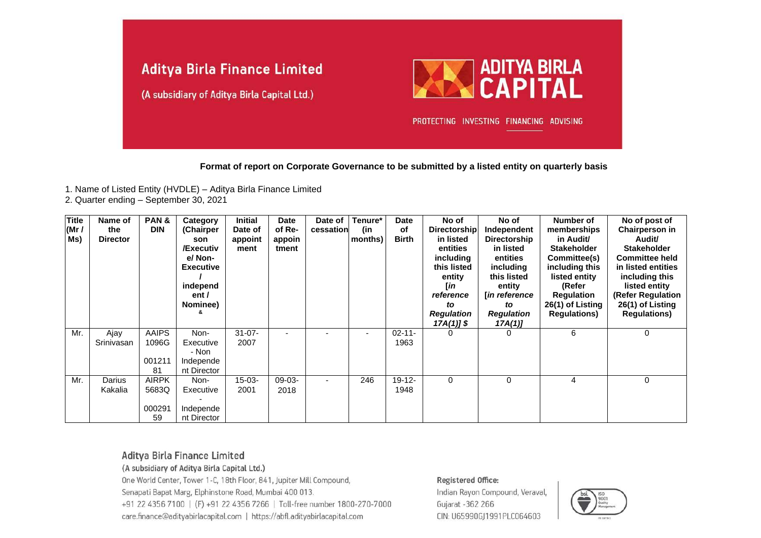

**Format of report on Corporate Governance to be submitted by a listed entity on quarterly basis**

- 1. Name of Listed Entity (HVDLE) Aditya Birla Finance Limited
- 2. Quarter ending September 30, 2021

| <b>Title</b><br>(Mr /<br>Ms) | Name of<br>the<br><b>Director</b> | PAN&<br><b>DIN</b>                    | Category<br>(Chairper<br>son<br>/Executiv<br>e/ Non-<br><b>Executive</b><br>independ<br>ent/<br>Nominee) | <b>Initial</b><br>Date of<br>appoint<br>ment | <b>Date</b><br>of Re-<br>appoin<br>tment | Date of<br>cessation | Tenure*<br>(in<br>months) | <b>Date</b><br>of<br><b>Birth</b> | No of<br>Directorship<br>in listed<br>entities<br>including<br>this listed<br>entity<br>[in<br>reference<br>to<br><b>Regulation</b><br>$17A(1)$ ] \$ | No of<br>Independent<br><b>Directorship</b><br>in listed<br>entities<br>including<br>this listed<br>entity<br><b>Tin reference</b><br>to<br><b>Regulation</b><br>17A(1) | Number of<br>memberships<br>in Audit/<br><b>Stakeholder</b><br>Committee(s)<br>including this<br>listed entity<br>(Refer<br><b>Regulation</b><br>26(1) of Listing<br><b>Requlations)</b> | No of post of<br>Chairperson in<br>Audit/<br><b>Stakeholder</b><br><b>Committee held</b><br>in listed entities<br>including this<br>listed entity<br>(Refer Regulation<br>26(1) of Listing<br><b>Regulations)</b> |
|------------------------------|-----------------------------------|---------------------------------------|----------------------------------------------------------------------------------------------------------|----------------------------------------------|------------------------------------------|----------------------|---------------------------|-----------------------------------|------------------------------------------------------------------------------------------------------------------------------------------------------|-------------------------------------------------------------------------------------------------------------------------------------------------------------------------|------------------------------------------------------------------------------------------------------------------------------------------------------------------------------------------|-------------------------------------------------------------------------------------------------------------------------------------------------------------------------------------------------------------------|
| Mr.                          | Ajay<br>Srinivasan                | <b>AAIPS</b><br>1096G<br>001211<br>81 | Non-<br>Executive<br>- Non<br>Independe<br>nt Director                                                   | $31 - 07 -$<br>2007                          |                                          |                      | $\overline{\phantom{0}}$  | $02 - 11 -$<br>1963               | 0                                                                                                                                                    | 0                                                                                                                                                                       | 6                                                                                                                                                                                        | 0                                                                                                                                                                                                                 |
| Mr.                          | Darius<br>Kakalia                 | <b>AIRPK</b><br>5683Q<br>000291<br>59 | Non-<br>Executive<br>Independe<br>nt Director                                                            | 15-03-<br>2001                               | $09-03-$<br>2018                         | ۰                    | 246                       | $19 - 12 -$<br>1948               | 0                                                                                                                                                    | 0                                                                                                                                                                       | 4                                                                                                                                                                                        | 0                                                                                                                                                                                                                 |

## Aditya Birla Finance Limited

(A subsidiary of Aditya Birla Capital Ltd.)

One World Center, Tower 1-C, 18th Floor, 841, Jupiter Mill Compound, Senapati Bapat Marg, Elphinstone Road, Mumbai 400 013. +91 22 4356 7100 | (F) +91 22 4356 7266 | Toll-free number 1800-270-7000 care.finance@adityabirlacapital.com | https://abfl.adityabirlacapital.com

#### Registered Office:

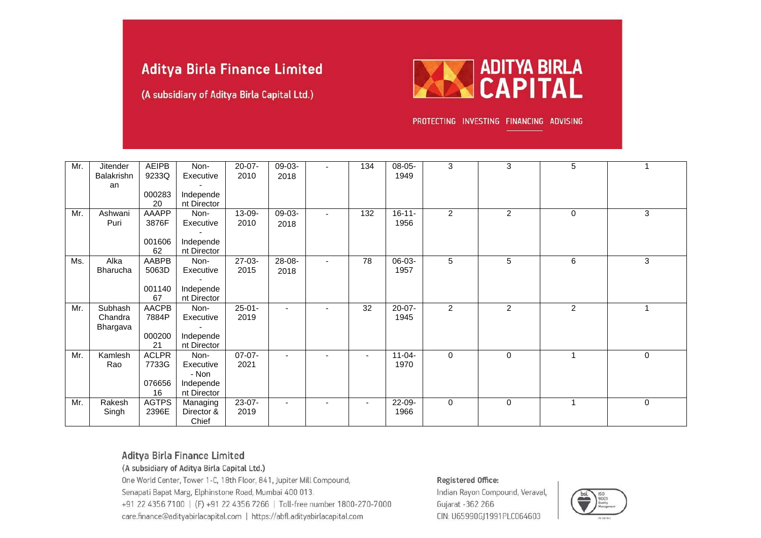(A subsidiary of Aditya Birla Capital Ltd.)



PROTECTING INVESTING FINANCING ADVISING

| Mr. | <b>Jitender</b><br>Balakrishn | <b>AEIPB</b><br>9233Q | Non-<br>Executive        | $20 - 07 -$<br>2010 | 09-03-<br>2018           |                          | 134                      | 08-05-<br>1949 | 3              | 3              | 5              |             |
|-----|-------------------------------|-----------------------|--------------------------|---------------------|--------------------------|--------------------------|--------------------------|----------------|----------------|----------------|----------------|-------------|
|     | an                            | 000283                | Independe                |                     |                          |                          |                          |                |                |                |                |             |
|     |                               | 20                    | nt Director              |                     |                          |                          |                          |                |                |                |                |             |
| Mr. | Ashwani                       | AAAPP                 | Non-                     | 13-09-              | 09-03-                   | $\blacksquare$           | 132                      | $16 - 11 -$    | $\overline{2}$ | $\overline{c}$ | 0              | 3           |
|     | Puri                          | 3876F                 | Executive                | 2010                | 2018                     |                          |                          | 1956           |                |                |                |             |
|     |                               |                       |                          |                     |                          |                          |                          |                |                |                |                |             |
|     |                               | 001606<br>62          | Independe<br>nt Director |                     |                          |                          |                          |                |                |                |                |             |
| Ms. | Alka                          | AABPB                 | Non-                     | $27-03-$            | 28-08-                   | $\blacksquare$           | 78                       | 06-03-         | 5              | 5              | 6              | 3           |
|     | <b>Bharucha</b>               | 5063D                 | Executive                | 2015                | 2018                     |                          |                          | 1957           |                |                |                |             |
|     |                               | 001140                | Independe                |                     |                          |                          |                          |                |                |                |                |             |
|     |                               | 67                    | nt Director              |                     |                          |                          |                          |                |                |                |                |             |
| Mr. | Subhash                       | <b>AACPB</b>          | Non-                     | $25 - 01 -$         | $\overline{\phantom{a}}$ |                          | 32                       | $20-07-$       | $\overline{c}$ | $\overline{c}$ | $\overline{2}$ | 1           |
|     | Chandra                       | 7884P                 | Executive                | 2019                |                          |                          |                          | 1945           |                |                |                |             |
|     | Bhargava                      |                       |                          |                     |                          |                          |                          |                |                |                |                |             |
|     |                               | 000200<br>21          | Independe<br>nt Director |                     |                          |                          |                          |                |                |                |                |             |
| Mr. | Kamlesh                       | <b>ACLPR</b>          | Non-                     | 07-07-              | $\overline{\phantom{a}}$ |                          | $\blacksquare$           | $11-04-$       | 0              | $\mathbf 0$    |                | $\mathbf 0$ |
|     | Rao                           | 7733G                 | Executive                | 2021                |                          |                          |                          | 1970           |                |                |                |             |
|     |                               |                       | - Non                    |                     |                          |                          |                          |                |                |                |                |             |
|     |                               | 076656                | Independe                |                     |                          |                          |                          |                |                |                |                |             |
|     |                               | 16                    | nt Director              |                     |                          |                          |                          |                |                |                |                |             |
| Mr. | Rakesh<br>Singh               | <b>AGTPS</b><br>2396E | Managing<br>Director &   | $23-07-$<br>2019    | $\overline{\phantom{a}}$ | $\overline{\phantom{0}}$ | $\overline{\phantom{0}}$ | 22-09-<br>1966 | 0              | $\mathbf{0}$   |                | $\mathbf 0$ |
|     |                               |                       | Chief                    |                     |                          |                          |                          |                |                |                |                |             |

## Aditya Birla Finance Limited

(A subsidiary of Aditya Birla Capital Ltd.)

One World Center, Tower 1-C, 18th Floor, 841, Jupiter Mill Compound, Senapati Bapat Marg, Elphinstone Road, Mumbai 400 013. +91 22 4356 7100 | (F) +91 22 4356 7266 | Toll-free number 1800-270-7000 care.finance@adityabirlacapital.com | https://abfl.adityabirlacapital.com

#### Registered Office:

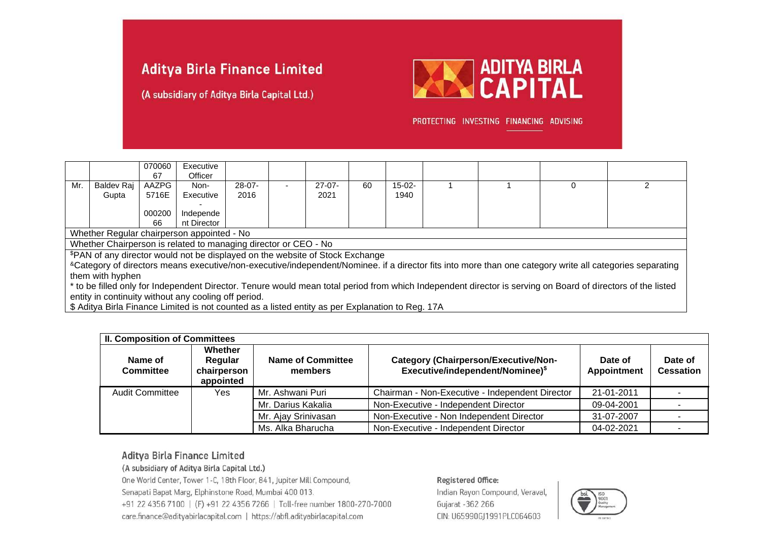(A subsidiary of Aditya Birla Capital Ltd.)



PROTECTING INVESTING FINANCING ADVISING

|                  |                                                                                                                                                             | 070060<br>67 | Executive<br>Officer                                                          |          |                          |          |    |          |  |  |                                                                                                                                                                          |
|------------------|-------------------------------------------------------------------------------------------------------------------------------------------------------------|--------------|-------------------------------------------------------------------------------|----------|--------------------------|----------|----|----------|--|--|--------------------------------------------------------------------------------------------------------------------------------------------------------------------------|
| Mr.              | Baldev Raj                                                                                                                                                  | AAZPG        | Non-                                                                          | $28-07-$ | $\overline{\phantom{a}}$ | $27-07-$ | 60 | $15-02-$ |  |  |                                                                                                                                                                          |
|                  | Gupta                                                                                                                                                       | 5716E        | Executive                                                                     | 2016     |                          | 2021     |    | 1940     |  |  |                                                                                                                                                                          |
|                  |                                                                                                                                                             | 000200       | Independe                                                                     |          |                          |          |    |          |  |  |                                                                                                                                                                          |
|                  |                                                                                                                                                             | 66           | nt Director                                                                   |          |                          |          |    |          |  |  |                                                                                                                                                                          |
|                  |                                                                                                                                                             |              | Whether Regular chairperson appointed - No                                    |          |                          |          |    |          |  |  |                                                                                                                                                                          |
|                  |                                                                                                                                                             |              | Whether Chairperson is related to managing director or CEO - No               |          |                          |          |    |          |  |  |                                                                                                                                                                          |
|                  |                                                                                                                                                             |              | \$PAN of any director would not be displayed on the website of Stock Exchange |          |                          |          |    |          |  |  |                                                                                                                                                                          |
|                  |                                                                                                                                                             |              |                                                                               |          |                          |          |    |          |  |  | <sup>&amp;</sup> Category of directors means executive/non-executive/independent/Nominee. if a director fits into more than one category write all categories separating |
| them with hyphen |                                                                                                                                                             |              |                                                                               |          |                          |          |    |          |  |  |                                                                                                                                                                          |
|                  | * to be filled only for Independent Director. Tenure would mean total period from which Independent director is serving on Board of directors of the listed |              |                                                                               |          |                          |          |    |          |  |  |                                                                                                                                                                          |
|                  | entity in continuity without any cooling off period.                                                                                                        |              |                                                                               |          |                          |          |    |          |  |  |                                                                                                                                                                          |

\$ Aditya Birla Finance Limited is not counted as a listed entity as per Explanation to Reg. 17A

|                             | <b>II. Composition of Committees</b>           |                                     |                                                                                             |                        |                             |  |  |  |
|-----------------------------|------------------------------------------------|-------------------------------------|---------------------------------------------------------------------------------------------|------------------------|-----------------------------|--|--|--|
| Name of<br><b>Committee</b> | Whether<br>Regular<br>chairperson<br>appointed | <b>Name of Committee</b><br>members | <b>Category (Chairperson/Executive/Non-</b><br>Executive/independent/Nominee) <sup>\$</sup> | Date of<br>Appointment | Date of<br><b>Cessation</b> |  |  |  |
| <b>Audit Committee</b>      | Mr. Ashwani Puri<br>Yes.                       |                                     | Chairman - Non-Executive - Independent Director                                             | 21-01-2011             |                             |  |  |  |
|                             |                                                | Mr. Darius Kakalia                  | Non-Executive - Independent Director                                                        | 09-04-2001             |                             |  |  |  |
|                             |                                                | Mr. Ajay Srinivasan                 | Non-Executive - Non Independent Director                                                    | 31-07-2007             |                             |  |  |  |
|                             |                                                | Ms. Alka Bharucha                   | Non-Executive - Independent Director                                                        | 04-02-2021             |                             |  |  |  |

## Aditya Birla Finance Limited

(A subsidiary of Aditya Birla Capital Ltd.)

One World Center, Tower 1-C, 18th Floor, 841, Jupiter Mill Compound, Senapati Bapat Marg, Elphinstone Road, Mumbai 400 013. +91 22 4356 7100 | (F) +91 22 4356 7266 | Toll-free number 1800-270-7000 care.finance@adityabirlacapital.com | https://abfl.adityabirlacapital.com

#### Registered Office:

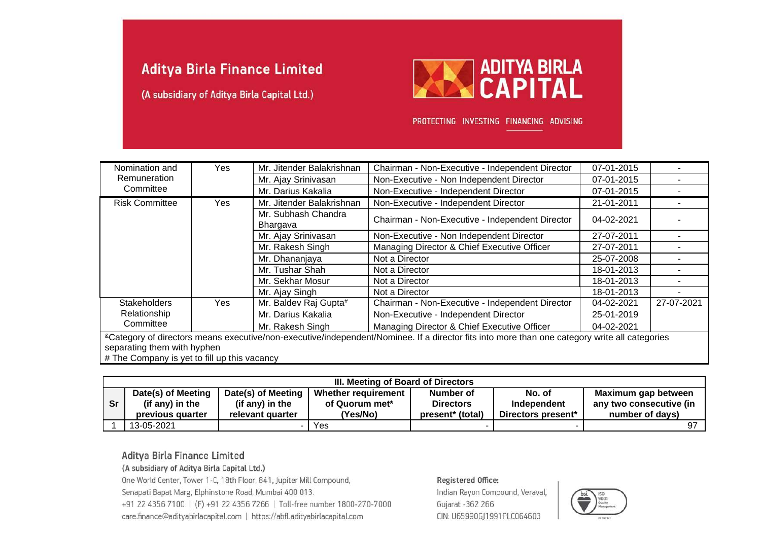(A subsidiary of Aditya Birla Capital Ltd.)



PROTECTING INVESTING FINANCING ADVISING

| Nomination and              | Yes | Mr. Jitender Balakrishnan                                         | Chairman - Non-Executive - Independent Director                                                                                                | 07-01-2015 |            |
|-----------------------------|-----|-------------------------------------------------------------------|------------------------------------------------------------------------------------------------------------------------------------------------|------------|------------|
| Remuneration                |     | Mr. Ajay Srinivasan                                               | Non-Executive - Non Independent Director                                                                                                       | 07-01-2015 |            |
| Committee                   |     | Mr. Darius Kakalia                                                | Non-Executive - Independent Director                                                                                                           | 07-01-2015 |            |
| <b>Risk Committee</b>       | Yes | Non-Executive - Independent Director<br>Mr. Jitender Balakrishnan |                                                                                                                                                | 21-01-2011 |            |
|                             |     | Mr. Subhash Chandra<br>Bhargava                                   | Chairman - Non-Executive - Independent Director                                                                                                | 04-02-2021 |            |
|                             |     | Mr. Ajay Srinivasan                                               | Non-Executive - Non Independent Director                                                                                                       | 27-07-2011 |            |
|                             |     | Mr. Rakesh Singh                                                  | Managing Director & Chief Executive Officer                                                                                                    | 27-07-2011 |            |
|                             |     | Mr. Dhananjaya                                                    | Not a Director                                                                                                                                 | 25-07-2008 |            |
|                             |     | Mr. Tushar Shah                                                   | Not a Director                                                                                                                                 | 18-01-2013 |            |
|                             |     | Mr. Sekhar Mosur                                                  | Not a Director                                                                                                                                 | 18-01-2013 |            |
|                             |     | Mr. Ajay Singh                                                    | Not a Director                                                                                                                                 | 18-01-2013 |            |
| <b>Stakeholders</b>         | Yes | Mr. Baldev Raj Gupta#                                             | Chairman - Non-Executive - Independent Director                                                                                                | 04-02-2021 | 27-07-2021 |
| Relationship                |     | Mr. Darius Kakalia                                                | Non-Executive - Independent Director                                                                                                           | 25-01-2019 |            |
| Committee                   |     | Mr. Rakesh Singh                                                  | Managing Director & Chief Executive Officer                                                                                                    | 04-02-2021 |            |
| separating them with hyphen |     |                                                                   | & Category of directors means executive/non-executive/independent/Nominee. If a director fits into more than one category write all categories |            |            |

# The Company is yet to fill up this vacancy

|           | III. Meeting of Board of Directors                        |                                                           |                                                   |                                                               |                                             |                                                                   |  |  |  |  |
|-----------|-----------------------------------------------------------|-----------------------------------------------------------|---------------------------------------------------|---------------------------------------------------------------|---------------------------------------------|-------------------------------------------------------------------|--|--|--|--|
| <b>Sr</b> | Date(s) of Meeting<br>(if any) in the<br>previous quarter | Date(s) of Meeting<br>(if any) in the<br>relevant quarter | Whether requirement<br>of Quorum met*<br>(Yes/No) | Number of<br><b>Directors</b><br>present <sup>*</sup> (total) | No. of<br>Independent<br>Directors present* | Maximum gap between<br>any two consecutive (in<br>number of days) |  |  |  |  |
|           | 13-05-2021                                                |                                                           | Yes                                               |                                                               |                                             |                                                                   |  |  |  |  |

## Aditya Birla Finance Limited

(A subsidiary of Aditya Birla Capital Ltd.)

One World Center, Tower 1-C, 18th Floor, 841, Jupiter Mill Compound, Senapati Bapat Marg, Elphinstone Road, Mumbai 400 013. +91 22 4356 7100 | (F) +91 22 4356 7266 | Toll-free number 1800-270-7000 care.finance@adityabirlacapital.com | https://abfl.adityabirlacapital.com

#### Registered Office:

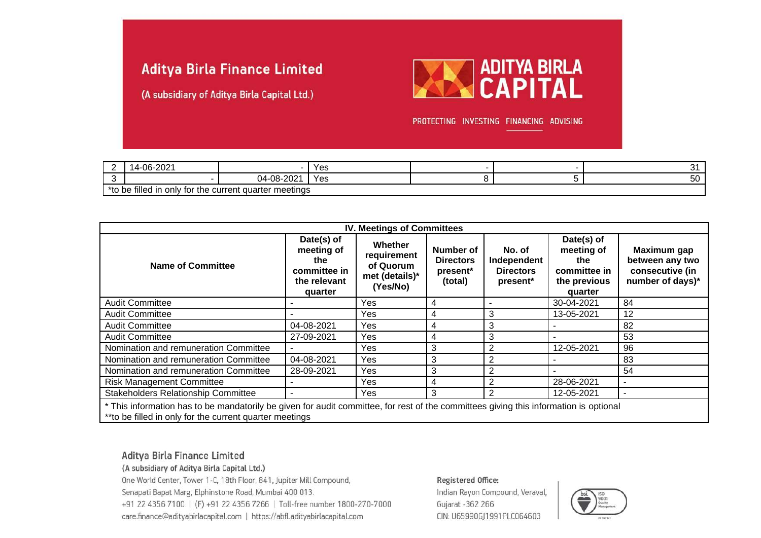(A subsidiary of Aditya Birla Capital Ltd.)



PROTECTING INVESTING FINANCING ADVISING

| <u>_</u> | $\sim$<br>ΩC<br>ש∠-רי<br>u                                    |                                | Yes |  |  |  |  |  |
|----------|---------------------------------------------------------------|--------------------------------|-----|--|--|--|--|--|
|          |                                                               | 0.00<br>$-08-20$<br>ገ4-<br>ZUZ | Yes |  |  |  |  |  |
| *+^      | <br>∶ auarter meetings<br>only for the current<br>, filled in |                                |     |  |  |  |  |  |

| <b>IV. Meetings of Committees</b>                                                                                                                                                                |                                                                            |                                                                   |                                                      |                                                       |                                                                            |                                                                       |  |  |
|--------------------------------------------------------------------------------------------------------------------------------------------------------------------------------------------------|----------------------------------------------------------------------------|-------------------------------------------------------------------|------------------------------------------------------|-------------------------------------------------------|----------------------------------------------------------------------------|-----------------------------------------------------------------------|--|--|
| <b>Name of Committee</b>                                                                                                                                                                         | Date(s) of<br>meeting of<br>the<br>committee in<br>the relevant<br>quarter | Whether<br>requirement<br>of Quorum<br>met (details)*<br>(Yes/No) | Number of<br><b>Directors</b><br>present*<br>(total) | No. of<br>Independent<br><b>Directors</b><br>present* | Date(s) of<br>meeting of<br>the<br>committee in<br>the previous<br>quarter | Maximum gap<br>between any two<br>consecutive (in<br>number of days)* |  |  |
| <b>Audit Committee</b>                                                                                                                                                                           |                                                                            | Yes                                                               | 4                                                    |                                                       | 30-04-2021                                                                 | 84                                                                    |  |  |
| <b>Audit Committee</b>                                                                                                                                                                           |                                                                            | Yes                                                               | 4                                                    | 3                                                     | 13-05-2021                                                                 | 12                                                                    |  |  |
| <b>Audit Committee</b>                                                                                                                                                                           | 04-08-2021                                                                 | Yes                                                               | 4                                                    | 3                                                     |                                                                            | 82                                                                    |  |  |
| <b>Audit Committee</b>                                                                                                                                                                           | 27-09-2021                                                                 | Yes                                                               | 4                                                    | 3                                                     |                                                                            | 53                                                                    |  |  |
| Nomination and remuneration Committee                                                                                                                                                            |                                                                            | <b>Yes</b>                                                        | 3                                                    | 2                                                     | 12-05-2021                                                                 | 96                                                                    |  |  |
| Nomination and remuneration Committee                                                                                                                                                            | 04-08-2021                                                                 | Yes                                                               | 3                                                    | 2                                                     |                                                                            | 83                                                                    |  |  |
| Nomination and remuneration Committee                                                                                                                                                            | 28-09-2021                                                                 | Yes                                                               | 3                                                    | 2                                                     |                                                                            | 54                                                                    |  |  |
| <b>Risk Management Committee</b>                                                                                                                                                                 |                                                                            | Yes                                                               | 4                                                    | 2                                                     | 28-06-2021                                                                 | ٠                                                                     |  |  |
| Stakeholders Relationship Committee                                                                                                                                                              |                                                                            | Yes                                                               | 3                                                    | 2                                                     | 12-05-2021                                                                 | ۰                                                                     |  |  |
| * This information has to be mandatorily be given for audit committee, for rest of the committees giving this information is optional<br>**to be filled in only for the current quarter meetings |                                                                            |                                                                   |                                                      |                                                       |                                                                            |                                                                       |  |  |

## Aditya Birla Finance Limited

(A subsidiary of Aditya Birla Capital Ltd.)

One World Center, Tower 1-C, 18th Floor, 841, Jupiter Mill Compound, Senapati Bapat Marg, Elphinstone Road, Mumbai 400 013. +91 22 4356 7100 | (F) +91 22 4356 7266 | Toll-free number 1800-270-7000 care.finance@adityabirlacapital.com | https://abfl.adityabirlacapital.com

#### Registered Office:

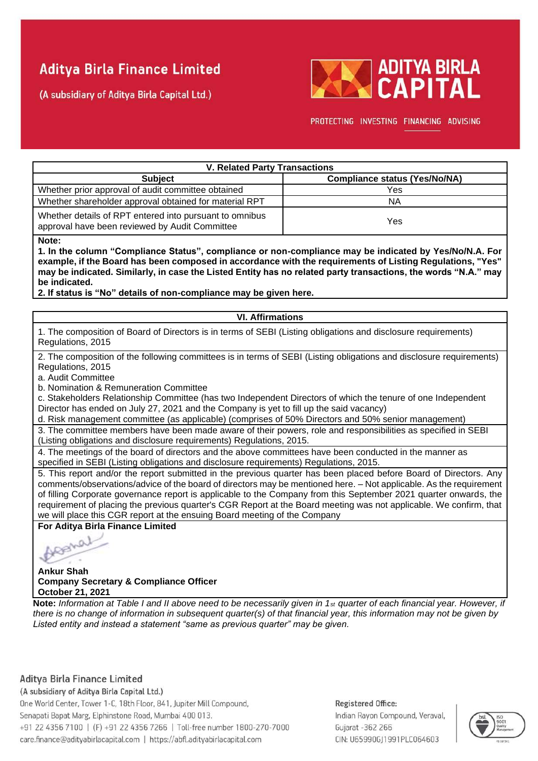(A subsidiary of Aditya Birla Capital Ltd.)



PROTECTING INVESTING FINANCING ADVISING

| <b>V. Related Party Transactions</b>                                                                      |                                      |  |  |  |  |  |  |
|-----------------------------------------------------------------------------------------------------------|--------------------------------------|--|--|--|--|--|--|
| <b>Subject</b>                                                                                            | <b>Compliance status (Yes/No/NA)</b> |  |  |  |  |  |  |
| Whether prior approval of audit committee obtained                                                        | Yes                                  |  |  |  |  |  |  |
| Whether shareholder approval obtained for material RPT                                                    | <b>NA</b>                            |  |  |  |  |  |  |
| Whether details of RPT entered into pursuant to omnibus<br>approval have been reviewed by Audit Committee | Yes                                  |  |  |  |  |  |  |

**Note:**

**1. In the column "Compliance Status", compliance or non-compliance may be indicated by Yes/No/N.A. For example, if the Board has been composed in accordance with the requirements of Listing Regulations, "Yes" may be indicated. Similarly, in case the Listed Entity has no related party transactions, the words "N.A." may be indicated.**

**2. If status is "No" details of non-compliance may be given here.**

## **VI. Affirmations**

1. The composition of Board of Directors is in terms of SEBI (Listing obligations and disclosure requirements) Regulations, 2015

2. The composition of the following committees is in terms of SEBI (Listing obligations and disclosure requirements) Regulations, 2015

a. Audit Committee

b. Nomination & Remuneration Committee

c. Stakeholders Relationship Committee (has two Independent Directors of which the tenure of one Independent

Director has ended on July 27, 2021 and the Company is yet to fill up the said vacancy)

d. Risk management committee (as applicable) (comprises of 50% Directors and 50% senior management)

3. The committee members have been made aware of their powers, role and responsibilities as specified in SEBI (Listing obligations and disclosure requirements) Regulations, 2015.

4. The meetings of the board of directors and the above committees have been conducted in the manner as specified in SEBI (Listing obligations and disclosure requirements) Regulations, 2015.

5. This report and/or the report submitted in the previous quarter has been placed before Board of Directors. Any comments/observations/advice of the board of directors may be mentioned here. – Not applicable. As the requirement of filling Corporate governance report is applicable to the Company from this September 2021 quarter onwards, the requirement of placing the previous quarter's CGR Report at the Board meeting was not applicable. We confirm, that we will place this CGR report at the ensuing Board meeting of the Company

**For Aditya Birla Finance Limited**

لن

**Ankur Shah Company Secretary & Compliance Officer October 21, 2021**

**Note:** *Information at Table I and II above need to be necessarily given in 1st quarter of each financial year. However, if there is no change of information in subsequent quarter(s) of that financial year, this information may not be given by Listed entity and instead a statement "same as previous quarter" may be given.*

## Aditya Birla Finance Limited

(A subsidiary of Aditya Birla Capital Ltd.) One World Center, Tower 1-C, 18th Floor, 841, Jupiter Mill Compound, Senapati Bapat Marg, Elphinstone Road, Mumbai 400 013. +91 22 4356 7100 | (F) +91 22 4356 7266 | Toll-free number 1800-270-7000 care.finance@adityabirlacapital.com | https://abfl.adityabirlacapital.com

## Registered Office: Indian Rayon Compound, Veraval, Gujarat - 362 266

CIN: U65990GI1991PLC064603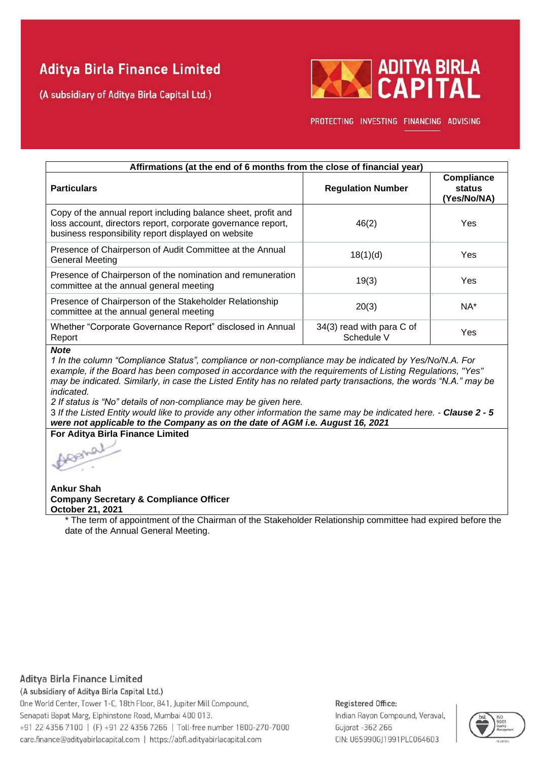(A subsidiary of Aditya Birla Capital Ltd.)



PROTECTING INVESTING FINANCING ADVISING

| Affirmations (at the end of 6 months from the close of financial year)                                                                                                               |                                         |                                            |  |  |  |  |  |
|--------------------------------------------------------------------------------------------------------------------------------------------------------------------------------------|-----------------------------------------|--------------------------------------------|--|--|--|--|--|
| <b>Particulars</b>                                                                                                                                                                   | <b>Regulation Number</b>                | <b>Compliance</b><br>status<br>(Yes/No/NA) |  |  |  |  |  |
| Copy of the annual report including balance sheet, profit and<br>loss account, directors report, corporate governance report,<br>business responsibility report displayed on website | 46(2)                                   | Yes                                        |  |  |  |  |  |
| Presence of Chairperson of Audit Committee at the Annual<br><b>General Meeting</b>                                                                                                   | 18(1)(d)                                | Yes                                        |  |  |  |  |  |
| Presence of Chairperson of the nomination and remuneration<br>committee at the annual general meeting                                                                                | 19(3)                                   | Yes                                        |  |  |  |  |  |
| Presence of Chairperson of the Stakeholder Relationship<br>committee at the annual general meeting                                                                                   | 20(3)                                   | $NA^*$                                     |  |  |  |  |  |
| Whether "Corporate Governance Report" disclosed in Annual<br>Report                                                                                                                  | 34(3) read with para C of<br>Schedule V | Yes                                        |  |  |  |  |  |

### *Note*

*1 In the column "Compliance Status", compliance or non-compliance may be indicated by Yes/No/N.A. For example, if the Board has been composed in accordance with the requirements of Listing Regulations, "Yes" may be indicated. Similarly, in case the Listed Entity has no related party transactions, the words "N.A." may be indicated.* 

*2 If status is "No" details of non-compliance may be given here.* 

3 *If the Listed Entity would like to provide any other information the same may be indicated here. - Clause 2 - 5 were not applicable to the Company as on the date of AGM i.e. August 16, 2021*

**For Aditya Birla Finance Limited**

L.O

**Ankur Shah Company Secretary & Compliance Officer October 21, 2021**

\* The term of appointment of the Chairman of the Stakeholder Relationship committee had expired before the date of the Annual General Meeting.

## Aditya Birla Finance Limited

(A subsidiary of Aditya Birla Capital Ltd.)

One World Center, Tower 1-C, 18th Floor, 841, Jupiter Mill Compound, Senapati Bapat Marg, Elphinstone Road, Mumbai 400 013. +91 22 4356 7100 | (F) +91 22 4356 7266 | Toll-free number 1800-270-7000 care.finance@adityabirlacapital.com | https://abfl.adityabirlacapital.com

#### Registered Office:

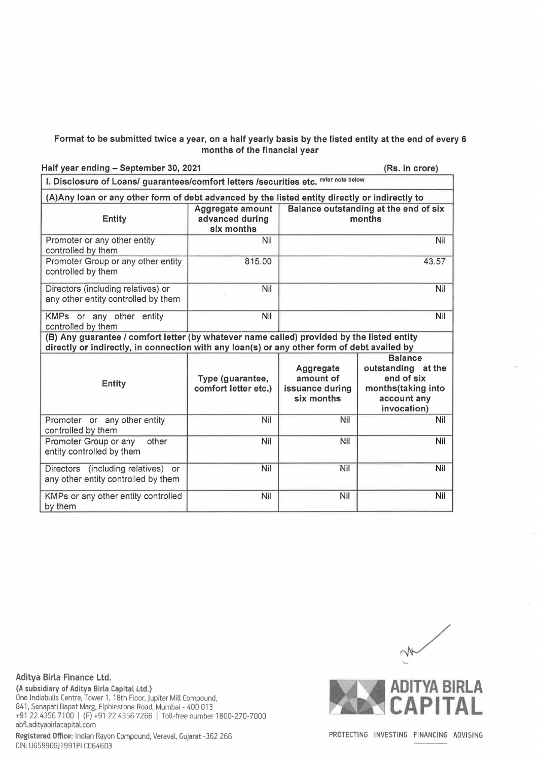## Format to be submitted twice a year, on a half yearly basis by the listed entity at the end of every 6 months of the financial year

Half year ending - September 30, 2021 **(Rs. in crore)** (Rs. in crore)

| I. Disclosure of Loans/ guarantees/comfort letters /securities etc. refer note below                                                                                                      |                                                   |                                                         |                                                                                                        |  |  |  |  |  |
|-------------------------------------------------------------------------------------------------------------------------------------------------------------------------------------------|---------------------------------------------------|---------------------------------------------------------|--------------------------------------------------------------------------------------------------------|--|--|--|--|--|
| (A) Any loan or any other form of debt advanced by the listed entity directly or indirectly to                                                                                            |                                                   |                                                         |                                                                                                        |  |  |  |  |  |
| <b>Entity</b>                                                                                                                                                                             | Aggregate amount<br>advanced during<br>six months | Balance outstanding at the end of six<br>months         |                                                                                                        |  |  |  |  |  |
| Promoter or any other entity<br>controlled by them                                                                                                                                        | Nil                                               |                                                         | Nil                                                                                                    |  |  |  |  |  |
| Promoter Group or any other entity<br>controlled by them                                                                                                                                  | 815.00                                            |                                                         | 43.57                                                                                                  |  |  |  |  |  |
| Directors (including relatives) or<br>any other entity controlled by them                                                                                                                 | Nil                                               |                                                         | Nil                                                                                                    |  |  |  |  |  |
| KMPs or any other entity<br>controlled by them                                                                                                                                            | Nil                                               | Nil                                                     |                                                                                                        |  |  |  |  |  |
| (B) Any guarantee / comfort letter (by whatever name called) provided by the listed entity<br>directly or indirectly, in connection with any loan(s) or any other form of debt availed by |                                                   |                                                         |                                                                                                        |  |  |  |  |  |
| <b>Entity</b>                                                                                                                                                                             | Type (guarantee,<br>comfort letter etc.)          | Aggregate<br>amount of<br>issuance during<br>six months | <b>Balance</b><br>outstanding at the<br>end of six<br>months(taking into<br>account any<br>invocation) |  |  |  |  |  |
| Promoter or any other entity<br>controlled by them                                                                                                                                        | Nil                                               | Nil                                                     | Nil                                                                                                    |  |  |  |  |  |
| Promoter Group or any<br>other<br>entity controlled by them                                                                                                                               | Nil                                               | Nil                                                     | Nil                                                                                                    |  |  |  |  |  |
| Directors (including relatives)<br><b>or</b><br>any other entity controlled by them                                                                                                       | Nil                                               | Nil                                                     | Nil                                                                                                    |  |  |  |  |  |
| KMPs or any other entity controlled<br>by them                                                                                                                                            | Nil                                               | Nil                                                     | Nil                                                                                                    |  |  |  |  |  |

**Aditya Birla Finance Ltd. (A subsidiary of Aditya Birla Capital Ltd.)**  One lndiabulls Centre, Tower 1, 18th Floor, Jupiter Mill Compound, 841, Senapati Bapat Marg, Elphinstone Road, Mumbai - 400 013 +91 22 4356 7100 I (F) +91 22 4356 7266 I Toll-free number 1800-270-7000 abfl.adityabirlacapital.com **Registered Office:** Indian Rayon Compound, Veraval, Gujarat -362 266 CIN: U65990GJ 1991 PLC064603



PROTECTING INVESTING FINANCING ADVISING